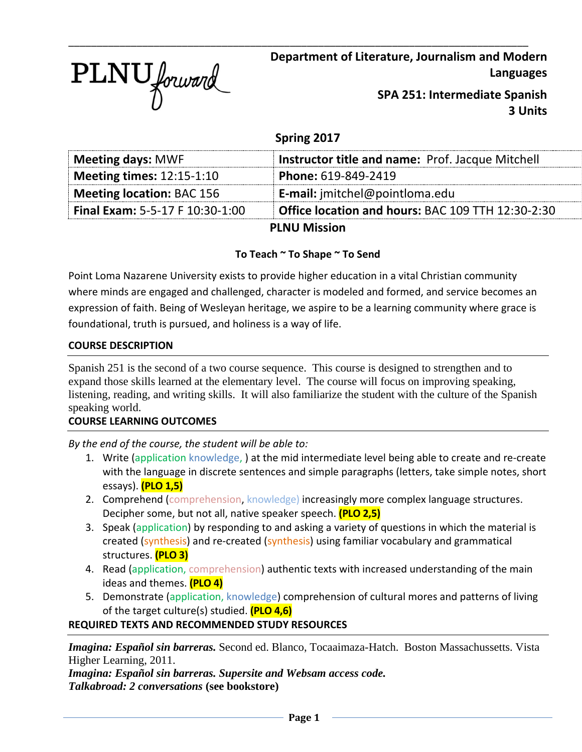

**Department of Literature, Journalism and Modern Languages**

> **SPA 251: Intermediate Spanish 3 Units**

# **Spring 2017**

\_\_\_\_\_\_\_\_\_\_\_\_\_\_\_\_\_\_\_\_\_\_\_\_\_\_\_\_\_\_\_\_\_\_\_\_\_\_\_\_\_\_\_\_\_\_\_\_\_\_\_\_\_\_\_\_\_\_\_\_\_\_\_\_\_\_\_\_\_\_\_\_\_\_\_\_\_\_\_\_\_

| <b>Meeting days: MWF</b>               | <b>Instructor title and name: Prof. Jacque Mitchell</b> |
|----------------------------------------|---------------------------------------------------------|
| <b>Meeting times: 12:15-1:10</b>       | Phone: 619-849-2419                                     |
| <b>Meeting location: BAC 156</b>       | <b>E-mail:</b> jmitchel@pointloma.edu                   |
| <b>Final Exam: 5-5-17 F 10:30-1:00</b> | Office location and hours: BAC 109 TTH 12:30-2:30       |
|                                        | <b>PLNU Mission</b>                                     |

# **To Teach ~ To Shape ~ To Send**

Point Loma Nazarene University exists to provide higher education in a vital Christian community where minds are engaged and challenged, character is modeled and formed, and service becomes an expression of faith. Being of Wesleyan heritage, we aspire to be a learning community where grace is foundational, truth is pursued, and holiness is a way of life.

## **COURSE DESCRIPTION**

Spanish 251 is the second of a two course sequence. This course is designed to strengthen and to expand those skills learned at the elementary level. The course will focus on improving speaking, listening, reading, and writing skills. It will also familiarize the student with the culture of the Spanish speaking world.

## **COURSE LEARNING OUTCOMES**

*By the end of the course, the student will be able to:*

- 1. Write (application knowledge, ) at the mid intermediate level being able to create and re-create with the language in discrete sentences and simple paragraphs (letters, take simple notes, short essays). **(PLO 1,5)**
- 2. Comprehend (comprehension, knowledge) increasingly more complex language structures. Decipher some, but not all, native speaker speech. **(PLO 2,5)**
- 3. Speak (application) by responding to and asking a variety of questions in which the material is created (synthesis) and re-created (synthesis) using familiar vocabulary and grammatical structures. **(PLO 3)**
- 4. Read (application, comprehension) authentic texts with increased understanding of the main ideas and themes. **(PLO 4)**
- 5. Demonstrate (application, knowledge) comprehension of cultural mores and patterns of living of the target culture(s) studied. **(PLO 4,6)**

## **REQUIRED TEXTS AND RECOMMENDED STUDY RESOURCES**

*Imagina: Español sin barreras.* Second ed. Blanco, Tocaaimaza-Hatch. Boston Massachussetts. Vista Higher Learning, 2011.

*Imagina: Español sin barreras. Supersite and Websam access code. Talkabroad: 2 conversations* **(see bookstore)**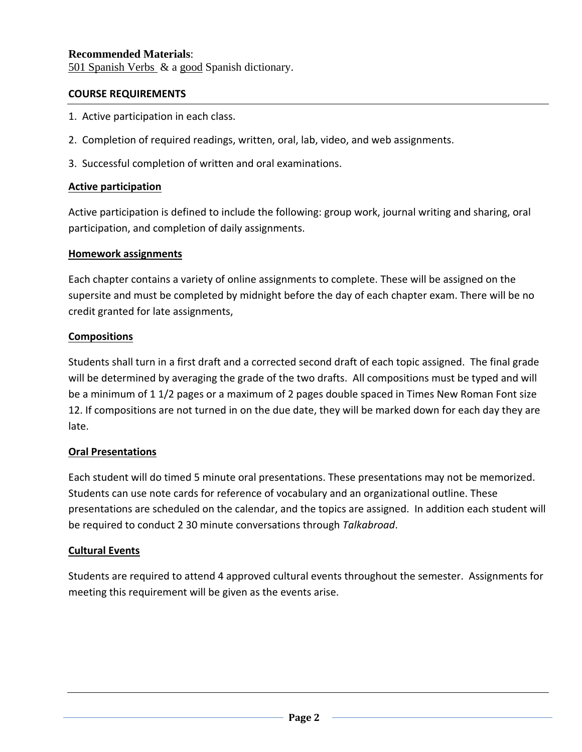## **Recommended Materials**:

501 Spanish Verbs & a good Spanish dictionary.

#### **COURSE REQUIREMENTS**

- 1. Active participation in each class.
- 2. Completion of required readings, written, oral, lab, video, and web assignments.
- 3. Successful completion of written and oral examinations.

## **Active participation**

Active participation is defined to include the following: group work, journal writing and sharing, oral participation, and completion of daily assignments.

## **Homework assignments**

Each chapter contains a variety of online assignments to complete. These will be assigned on the supersite and must be completed by midnight before the day of each chapter exam. There will be no credit granted for late assignments,

## **Compositions**

Students shall turn in a first draft and a corrected second draft of each topic assigned. The final grade will be determined by averaging the grade of the two drafts. All compositions must be typed and will be a minimum of 1 1/2 pages or a maximum of 2 pages double spaced in Times New Roman Font size 12. If compositions are not turned in on the due date, they will be marked down for each day they are late.

## **Oral Presentations**

Each student will do timed 5 minute oral presentations. These presentations may not be memorized. Students can use note cards for reference of vocabulary and an organizational outline. These presentations are scheduled on the calendar, and the topics are assigned. In addition each student will be required to conduct 2 30 minute conversations through *Talkabroad*.

## **Cultural Events**

Students are required to attend 4 approved cultural events throughout the semester. Assignments for meeting this requirement will be given as the events arise.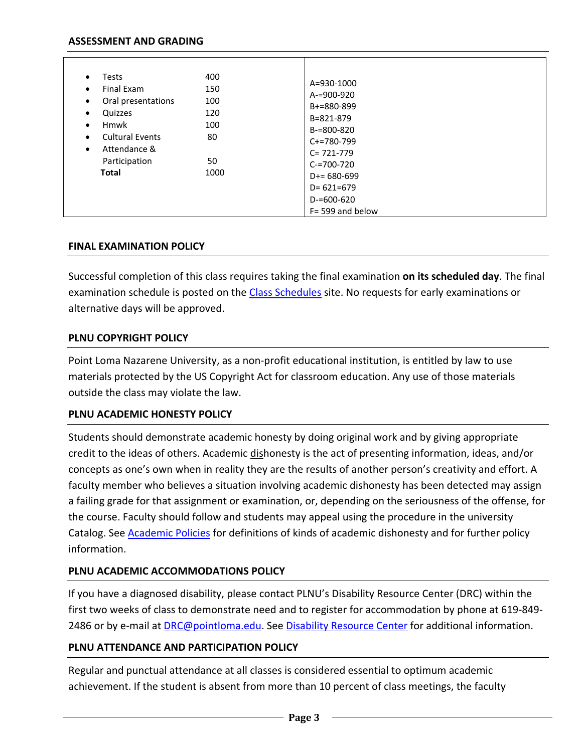#### **ASSESSMENT AND GRADING**

| 400<br><b>Tests</b><br>$\bullet$<br>Final Exam<br>150<br>Oral presentations<br>100<br>Quizzes<br>120<br>$\bullet$<br><b>Hmwk</b><br>100<br>$\bullet$<br><b>Cultural Events</b><br>80<br>$\bullet$<br>Attendance &<br>$\bullet$<br>Participation<br>50<br><b>Total</b><br>1000 | A=930-1000<br>$A = 900 - 920$<br>$B+=880-899$<br>B=821-879<br>$B=800-820$<br>$C+=780-799$<br>$C = 721 - 779$<br>$C = 700 - 720$<br>$D+= 680 - 699$<br>$D = 621 = 679$<br>$D = 600 - 620$<br>$F = 599$ and below |
|-------------------------------------------------------------------------------------------------------------------------------------------------------------------------------------------------------------------------------------------------------------------------------|-----------------------------------------------------------------------------------------------------------------------------------------------------------------------------------------------------------------|
|-------------------------------------------------------------------------------------------------------------------------------------------------------------------------------------------------------------------------------------------------------------------------------|-----------------------------------------------------------------------------------------------------------------------------------------------------------------------------------------------------------------|

#### **FINAL EXAMINATION POLICY**

Successful completion of this class requires taking the final examination **on its scheduled day**. The final examination schedule is posted on the [Class Schedules](http://www.pointloma.edu/experience/academics/class-schedules) site. No requests for early examinations or alternative days will be approved.

#### **PLNU COPYRIGHT POLICY**

Point Loma Nazarene University, as a non-profit educational institution, is entitled by law to use materials protected by the US Copyright Act for classroom education. Any use of those materials outside the class may violate the law.

#### **PLNU ACADEMIC HONESTY POLICY**

Students should demonstrate academic honesty by doing original work and by giving appropriate credit to the ideas of others. Academic dishonesty is the act of presenting information, ideas, and/or concepts as one's own when in reality they are the results of another person's creativity and effort. A faculty member who believes a situation involving academic dishonesty has been detected may assign a failing grade for that assignment or examination, or, depending on the seriousness of the offense, for the course. Faculty should follow and students may appeal using the procedure in the university Catalog. See [Academic Policies](http://catalog.pointloma.edu/content.php?catoid=18&navoid=1278) for definitions of kinds of academic dishonesty and for further policy information.

#### **PLNU ACADEMIC ACCOMMODATIONS POLICY**

If you have a diagnosed disability, please contact PLNU's Disability Resource Center (DRC) within the first two weeks of class to demonstrate need and to register for accommodation by phone at 619-849- 2486 or by e-mail at [DRC@pointloma.edu.](mailto:DRC@pointloma.edu) See [Disability Resource Center](http://www.pointloma.edu/experience/offices/administrative-offices/academic-advising-office/disability-resource-center) for additional information.

#### **PLNU ATTENDANCE AND PARTICIPATION POLICY**

Regular and punctual attendance at all classes is considered essential to optimum academic achievement. If the student is absent from more than 10 percent of class meetings, the faculty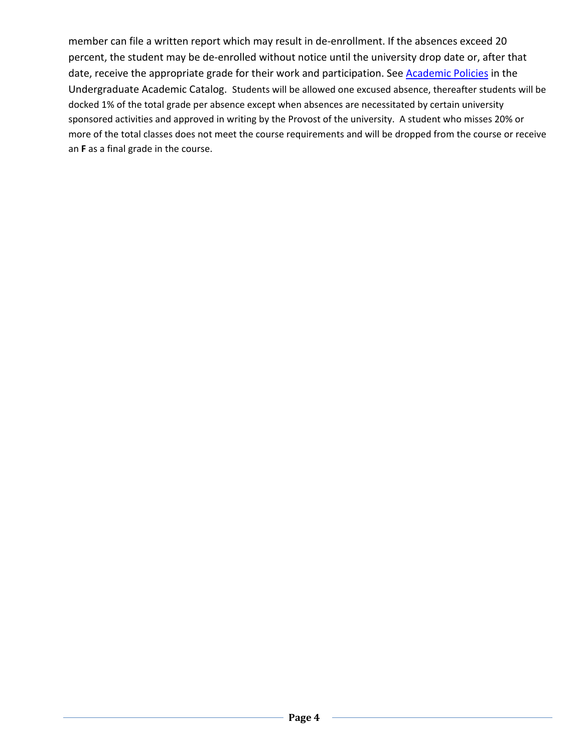member can file a written report which may result in de-enrollment. If the absences exceed 20 percent, the student may be de-enrolled without notice until the university drop date or, after that date, receive the appropriate grade for their work and participation. See **Academic Policies** in the Undergraduate Academic Catalog. Students will be allowed one excused absence, thereafter students will be docked 1% of the total grade per absence except when absences are necessitated by certain university sponsored activities and approved in writing by the Provost of the university. A student who misses 20% or more of the total classes does not meet the course requirements and will be dropped from the course or receive an **F** as a final grade in the course.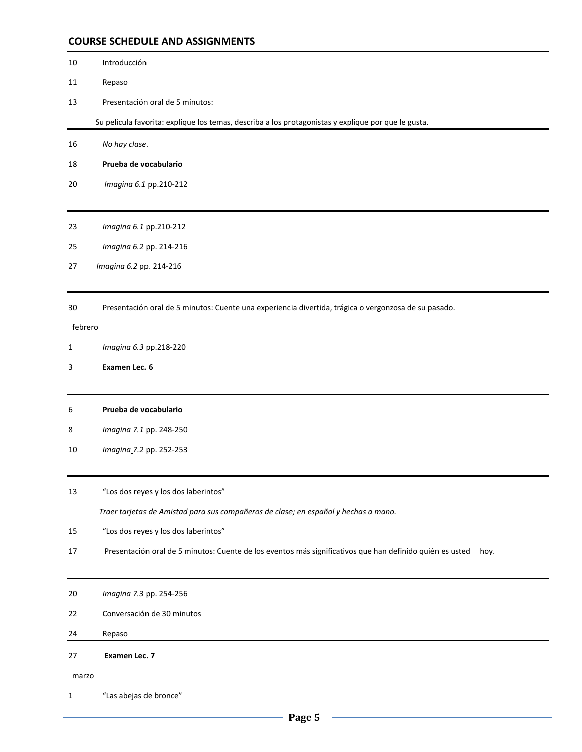#### **COURSE SCHEDULE AND ASSIGNMENTS**

- Introducción
- Repaso
- Presentación oral de 5 minutos:

Su película favorita: explique los temas, describa a los protagonistas y explique por que le gusta.

- *No hay clase.*
- **Prueba de vocabulario**
- *Imagina 6.1* pp.210-212
- *Imagina 6.1* pp.210-212
- *Imagina 6.2* pp. 214-216
- *Imagina 6.2* pp. 214-216
- Presentación oral de 5 minutos: Cuente una experiencia divertida, trágica o vergonzosa de su pasado.

#### febrero

- *Imagina 6.3* pp.218-220
- **Examen Lec. 6**
- **Prueba de vocabulario**
- *Imagina 7.1* pp. 248-250
- *Imagina 7.2* pp. 252-253
- "Los dos reyes y los dos laberintos"  *Traer tarjetas de Amistad para sus compañeros de clase; en español y hechas a mano.*
- "Los dos reyes y los dos laberintos"
- 17 Presentación oral de 5 minutos: Cuente de los eventos más significativos que han definido quién es usted hoy.
- *Imagina 7.3* pp. 254-256
- Conversación de 30 minutos
- 24 Repaso

#### **Examen Lec. 7**

marzo

1 "Las abejas de bronce"